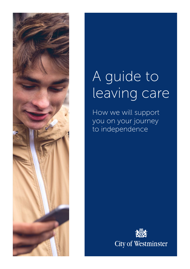

# A guide to leaving care

How we will support you on your journey to independence

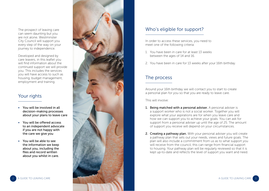The prospect of leaving care can seem daunting but you are not alone. Westminster City Council will support you every step of the way on your journey to independence.

Developed and designed by care leavers, in this leaflet you will find information about the continued support we will provide you. This includes the services you will have access to such as housing, budget management, employment and training.

### Your rights

- You will be involved in all decision-making processes about your plans to leave care
- You will be offered access to an independent advocate if you are not happy with the care we give you
- You will be able to see the information we keep about you, including the files and record written about you whilst in care.



### Who's eligible for support?

In order to access these services, you need to meet one of the following criteria:

- 1. You have been in care for at least 13 weeks between the ages of 14 and 16.
- 2. You have been in care for 13 weeks after your 16th birthday.

# The process

Around your 16th birthday we will contact you to start to create a personal plan for you so that you are ready to leave care.

This will involve:

- **1. Being matched with a personal adviser.** A personal adviser is a support worker who is not a social worker. Together you will explore what your aspirations are for when you leave care and how we can support you to achieve your goals. You can ask for support from a personal adviser up until the age of 25. The amount of support you receive will depend on your circumstances.
- 2. Creating a pathway plan. With your personal adviser you will create a pathway plan that sets out your needs, views and future goals. The plan will also include a commitment from us as to what support you will receive from the council, this can range from financial support to housing. Your pathway plan will be regularly reviewed so that it is kept up-to-date and reflects the level of support you want and need.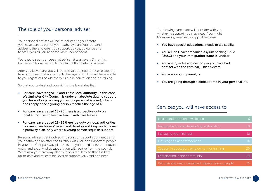### The role of your personal adviser

Your personal adviser will be introduced to you before you leave care as part of your pathway plan. Your personal adviser is there to offer you support, advice, guidance and to assist you as you become more independent.

You should see your personal adviser at least every 3 months, but we aim for more regular contact if that's what you want.

After you leave care you will be able to continue to receive support from your personal adviser up to the age of 25. This will be available to you regardless of whether you are in education and/or training.

So that you understand your rights, the law states that;

- For care leavers aged 16 and 17 the local authority (in this case, Westminster City Council) is under an absolute duty to support you (as well as providing you with a personal adviser), which does apply once a young person reaches the age of 18
- For care leavers aged 18–20 there is a proactive duty on local authorities to keep in touch with care leavers
- For care leavers aged 21–25 there is a duty on local authorities to assess care leavers' needs and develop and keep under review a pathway plan, only where a young person requests support.

Personal advisers get involved in discussions about your needs and your pathway plan after consultation with you and important people in your life. Your pathway plan, sets out your needs, views and future goals, and exactly what support you will receive from the council. We review your pathway plan with you regularly so that it is kept up-to-date and reflects the level of support you want and need.

Your leaving care team will consider with you what extra support you may need. You might, for example, need extra support because:

- You have special educational needs or a disability
- You are an Unaccompanied Asylum Seeking Child (UASC) and your immigration status is unclear
- You are in, or leaving custody or you have had contact with the criminal justice system
- You are a young parent; or
- You are going through a difficult time in your personal life.

#### Services you will have access to

| Health and emotional wellbeing                 | 6  |
|------------------------------------------------|----|
| Making friends and developing relationships    | 10 |
| Managing your finances                         |    |
| Housing and accommodation                      | 16 |
| Support in education, employment or training   |    |
| Participation in the community                 | 24 |
| Refugee and unaccompanied migrant young people |    |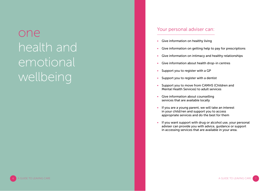# <span id="page-3-0"></span>one health and emotional wellbeing

#### Your personal adviser can:

- Give information on healthy living
- Give information on getting help to pay for prescriptions
- Give information on intimacy and healthy relationships
- Give information about health drop-in centres
- Support you to register with a GP
- Support you to register with a dentist
- Support you to move from CAMHS (Children and Mental Health Services) to adult services
- Give information about counselling services that are available locally
- If you are a young parent, we will take an interest in your child/ren and support you to access appropriate services and do the best for them
- If you want support with drug or alcohol use, your personal adviser can provide you with advice, guidance or support in accessing services that are available in your area.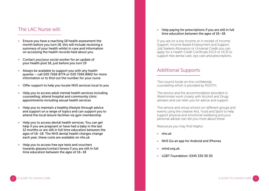### The LAC Nurse will:

- Ensure you have a reaching 18 health assessment the month before you turn 18, this will include receiving a summary of your health whilst in care and information on accessing the health records held about you
- Contact you/your social worker for an update of your health post 18, just before you turn 19
- Always be available to support you with any health queries – call 020 7266 8774 or 020 7266 8862 for more information or to find out the number for your nurse
- Offer support to help you locate NHS services local to you
- Help you to access adult mental health services including counselling; attend hospital and community clinic appointments including sexual health services
- Help you to maintain a healthy lifestyle through advice and support on a range of topics and can support you to attend the local leisure facilities via gym membership
- Help you to access dental health services. You can get help if you are pregnant or have had a baby in the last 12 months or are still in full time education between the ages of 16–18. The NHS dental health charges change each year, these costs are available on [nhs.uk](http://www.nhs.uk)
- Help you to access free eye tests and vouchers towards glasses/contact lenses if you are still in full time education between the ages of 16–18

• Help paying for prescriptions if you are still in full time education between the ages of 16–18.

If you are on a low income or in receipt of Income Support, Income Based Employment and Support, Job Seekers Allowance or Universal Credit you can apply for a Health Credit Certificate [HC2 or HC3] to support free dental care, eye care and prescriptions.

#### Additional Supports

The council funds on line confidential counselling which is provided by KOOTH.

The service and the accommodation providers in Westminster work closely with Alcohol and Drugs advisers and can refer you for advice and support.

The service and virtual school run different groups and events using the creative Arts, Food and Sport to help support physical and emotional wellbeing and your personal adviser can tell you more about these.

Resources you may find helpful:

- [nhs.uk](http://www.nhs.uk)
- NHS Go an app for Android and iPhones
- [mind.org.uk](http://www.mind.org.uk)
- LGBT Foundation: 0345 330 30 30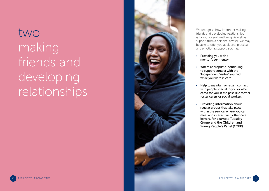# two making friends and developing relationships

<span id="page-5-0"></span>

We recognise how important making friends and developing relationships is to your overall wellbeing. As well as support from a personal adviser, we may be able to offer you additional practical and emotional support, such as:

- Providing you with a mentor/peer mentor
- Where appropriate, continuing to support contact with the 'Independent Visitor' you had while you were in care
- Help to maintain or regain contact with people special to you or who cared for you in the past, like former foster carers or social workers
- Providing information about regular groups that take place within the service, where you can meet and interact with other care leavers, for example Tuesday Group and the Children and Young People's Panel (CYPP).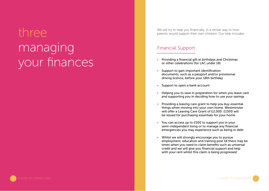# <span id="page-6-0"></span>three managing your finances

We will try to help you financially, in a similar way to how parents would support their own children. Our help includes:

### Financial Support

- Providing a financial gift at birthdays and Christmas or other celebrations (for LAC under 18)
- Support to gain important identification documents, such as a passport and/or provisional driving licence, before your 18th birthday
- Support to open a bank account
- Helping you to save in preparation for when you leave care and supporting you in deciding how to use your savings
- Providing a leaving care grant to help you buy essential things when moving into your own home. Westminster will offer a Leaving Care Grant of £2,000: £1500 will be issued for purchasing essentials for your home
- You can access up to £500 to support you in your semi-independent living or to manage any financial emergencies you may experience such as being in debt
- Whilst we will strongly encourage you to pursue employment, education and training post 18 there may be times when you need to claim benefits such as universal credit and we will give you financial support and help with your rent whilst this claim is being progressed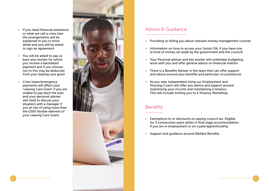- If you need financial assistance or what we call a crisis loan the arrangements will be explained to you in more detail and you will be asked to sign an agreement
- You will be asked to pay us back any monies for which you receive a backdated payment and if you choose not to this may be deducted from your leaving care grant
- Crisis loans/emergency payments will affect your 'Leaving Care Grant' if you are unable to pay back the loan and your personal adviser will need to discuss your situation with a manager if you at risk of using more than the £500 flexible element of your Leaving Care Grant.



#### Advice & Guidance

- Providing or telling you about relevant money management courses
- Information on how to access your Junior ISA, if you have one (a fund of money set aside by the government and the council)
- Your Personal adviser and key worker will undertake budgeting work with you and offer general advice on financial matters
- There is a Benefits Adviser in the team that can offer support and advice around your benefits and particular circumstances
- As you near independent living our Employment and Housing Coach will offer you advice and support around maximising your income and maintaining a tenancy. This will include inviting you to a Tenancy Workshop.

### Benefits

- Exemptions to or discounts on paying council tax. Eligible for 3 consecutive years whilst in final stage accommodation if you are in employment or on a paid apprenticeship
- Support and guidance around Welfare Benefits.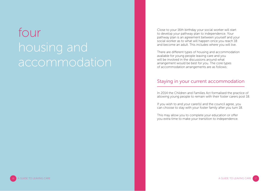# <span id="page-8-0"></span>four housing and accommodation

Close to your 16th birthday your social worker will start to develop your pathway plan to independence. Your pathway plan is an agreement between yourself and your social worker as to what will happen once you reach 18 and become an adult. This includes where you will live.

There are different types of housing and accommodation available for young people leaving care and you will be involved in the discussions around what arrangement would be best for you. The core types of accommodation arrangements are as follows:

#### Staying in your current accommodation

In 2014 the Children and Families Act formalised the practice of allowing young people to remain with their foster carers post 18.

If you wish to and your carer(s) and the council agree, you can choose to stay with your foster family after you turn 18.

This may allow you to complete your education or offer you extra time to make your transition to independence.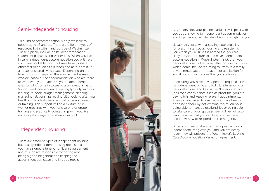# Semi-independent housing

This kind of accommodation is only available to people aged 16 and up. There are different types of resources both within and outside of Westminster. These typically include hostel accommodation, shared living spaces and trainer flats. When you live in semi-independent accommodation you will have your own, lockable room but may have to share other facilities such as a kitchen and bathroom if it's a hostel or shared living space. Depending on the level of support required there will either be keyworkers based at the accommodation who are there to work with you to achieve your independence goals or who come in to see you on a regular basis. Support and independence training typically involves learning to cook, budget management, cleaning, managing relationships, paying bills, looking after your health and to ideally be in education, employment or training. This support will be a mixture of key worker meetings with you, one to one or group training and practically doing things with you like enrolling at college or registering with a GP.

# Independent housing

There are different types of independent housing but usually independent housing means that you have signed a tenancy or license agreement and as such are responsible for paying rent, being a good neighbour and keeping the accommodation clean and in good repair.



As you develop your personal adviser will speak with you about moving to independent accommodation and together you will decide when this is right for you.

Usually this starts with assessing your eligibility for Westminster social housing and registering you when you're 18 if it is agreed that you are likely to want to return to and have independent accommodation in Westminster. If not, then your personal adviser will explore other options with you which could include returning to live with a family, private rented accommodation, or application for social housing in the area that you are living.

In ensuring you have developed the required skills for independent living and to hold a tenancy your personal adviser and key worker/foster carer will look for clear evidence such as proof that you are paying bills and keeping relevant appointments. They will also need to see that you have been a good neighbour by not creating too much noise, being able to manage relationships or being able to take care of your space properly. They will also want to know that you can keep yourself safe and know how to respond to an emergency.

When your personal adviser has agreed a plan of independent living with you and you are nearly ready they will present it to Westminster's Leaving Care Accommodation Panel for agreement.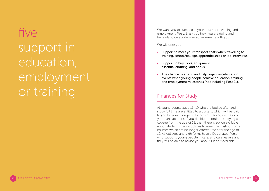# <span id="page-10-0"></span>five support in education, employment or training

We want you to succeed in your education, training and employment. We will ask you how you are doing and be ready to celebrate your achievements with you.

We will offer you:

- Support to meet your transport costs when travelling to training, school/college, apprenticeships or job interviews
- Support to buy tools, equipment, essential clothing, and books
- The chance to attend and help organise celebration events when young people achieve education, training and employment milestones (not including Post 21).

### Finances for Study

All young people aged 16–19 who are looked after and study full time are entitled to a bursary, which will be paid to you by your college, sixth form or training centre into your bank account. If you decide to continue studying at college from the age of 19, then there is advice available about Student Finance options to meet the costs of some courses which are no longer offered free after the age of 19. All colleges and sixth forms have a Designated Person who supports young people in care, and care leavers and they will be able to advise you about support available.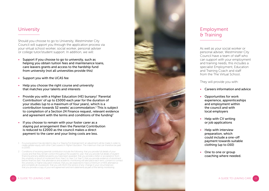### **University**

Should you choose to go to University, Westminster City Council will support you through the application process via your virtual school worker, social worker, personal adviser or college tutor/student support. In addition, we will:

- Support if you choose to go to university, such as helping you obtain tuition fees and maintenance loans, care leavers grants and access to the hardship fund from university (not all universities provide this)
- Support you with the UCAS fee
- Help you choose the right course and university that matches your talents and interests
- Provide you with a Higher Education (HE) bursary/ 'Parental Contribution' of up to £5000 each year for the duration of your studies (up to a maximum of four years), which is a contribution towards 52 weeks' accommodation. 1 This is subject to completion of a Section 24 Finance request, relevant evidence and agreement with the terms and conditions of the funding<sup>2</sup>
- If you choose to remain with your foster carer as a staying put arrangement then the Parental Contribution is reduced to £2000 as the council makes a direct payment to the carer and your living costs are less.

1 If a young person has decided to stay in a 'Staying Put Arrangement' an adjustment will be made in order to create greater equity with other Care Leavers in Higher Education. The maximum that can therefore be paid is £2000.

2 Conditions of receiving parental contribution include the following: that you provide full details of your course and that they remain correct throughout the academic year; that you provide full details of student financing and any additional grants you have been awarded; that you provide a 'letter or acceptance' from the university or proof of movement from Year 1 to Year 2 or Year 3; that you provide evidence of enrolment before finances start; that attendance and academic monitoring will take place each term; consent to contact the university or higher education institute; that you are expected to have a minimum of 90% attendance and complete all coursework; that you will inform the service of any 'change in your circumstances'; that you provide a copy of your rent agreement and rent statements as part of the termly monitoring.



# Employment & Training

As well as your social worker or personal adviser, Westminster City Council have a team of staff who can support with your employment and training needs, this includes a specialist Employment, Education and Training Coach and staff from the The Virtual School.

They will provide you with:

- Careers information and advice
- Opportunities for work experience, apprenticeships and employment within the council and with local employers
- Help with CV writing or job applications
- Help with interview preparation, which could include a one-off payment towards suitable clothing (up to £60)
- One to one or group coaching where needed.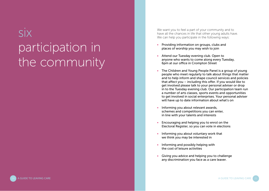# <span id="page-12-0"></span>six participation in the community

We want you to feel a part of your community and to have all the chances in life that other young adults have. We can help you participate in the following ways:

- Providing information on groups, clubs and places of worship you may wish to join
- Attend our Tuesday evening club. Open to anyone who wants to come along every Tuesday, 6pm at our office in Crompton Street
- The Children and Young People Panel is a group of young people who meet regularly to talk about things that matter and to help inform and shape council services and policies that affect you – including this offer. If you would like to get involved please talk to your personal adviser or drop in to the Tuesday evening club. Our participation team run a number of arts classes, sports events and opportunities to get involved in social enterprises. Your personal adviser will have up to date information about what's on
- Informing you about relevant awards, schemes and competitions you can enter, in line with your talents and interests
- Encouraging and helping you to enrol on the Electoral Register, so you can vote in elections
- Informing you about voluntary work that we think you may be interested in
- Informing and possibly helping with the cost of leisure activities
- Giving you advice and helping you to challenge any discrimination you face as a care leaver.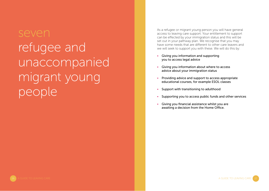# <span id="page-13-0"></span>seven refugee and unaccompanied migrant young people

As a refugee or migrant young person you will have general access to leaving care support. Your entitlement to support can be effected by your immigration status and this will be set out in your pathway plan. We recognise that you may have some needs that are different to other care leavers and we will seek to support you with these. We will do this by:

- Giving you information and supporting you to access legal advice
- Giving you information about where to access advice about your immigration status
- Providing advice and support to access appropriate educational courses, for example ESOL classes
- Support with transitioning to adulthood
- Supporting you to access public funds and other services
- Giving you financial assistance whilst you are awaiting a decision from the Home Office.